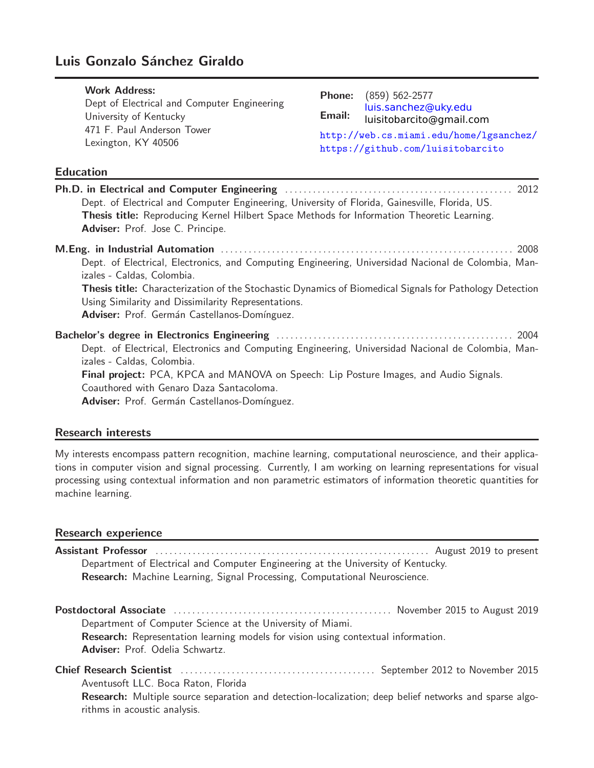# Luis Gonzalo Sánchez Giraldo

| <b>Work Address:</b>                              | <b>Phone:</b> (859) 562-2577                                                 |
|---------------------------------------------------|------------------------------------------------------------------------------|
| Dept of Electrical and Computer Engineering       | luis.sanchez@uky.edu                                                         |
| University of Kentucky                            | Email: luisitobarcito@gmail.com                                              |
| 471 F. Paul Anderson Tower<br>Lexington, KY 40506 | http://web.cs.miami.edu/home/lgsanchez/<br>https://github.com/luisitobarcito |

## Education

| Dept. of Electrical and Computer Engineering, University of Florida, Gainesville, Florida, US.                                                                        |  |
|-----------------------------------------------------------------------------------------------------------------------------------------------------------------------|--|
| Thesis title: Reproducing Kernel Hilbert Space Methods for Information Theoretic Learning.                                                                            |  |
| Adviser: Prof. Jose C. Principe.                                                                                                                                      |  |
|                                                                                                                                                                       |  |
| Dept. of Electrical, Electronics, and Computing Engineering, Universidad Nacional de Colombia, Man-<br>izales - Caldas, Colombia.                                     |  |
| <b>Thesis title:</b> Characterization of the Stochastic Dynamics of Biomedical Signals for Pathology Detection<br>Using Similarity and Dissimilarity Representations. |  |
| Adviser: Prof. Germán Castellanos-Domínguez.                                                                                                                          |  |
|                                                                                                                                                                       |  |
| Dept. of Electrical, Electronics and Computing Engineering, Universidad Nacional de Colombia, Man-                                                                    |  |
| izales - Caldas, Colombia.                                                                                                                                            |  |
| Final project: PCA, KPCA and MANOVA on Speech: Lip Posture Images, and Audio Signals.                                                                                 |  |
| Coauthored with Genaro Daza Santacoloma.                                                                                                                              |  |
| Adviser: Prof. Germán Castellanos-Domínguez.                                                                                                                          |  |

# Research interests

My interests encompass pattern recognition, machine learning, computational neuroscience, and their applications in computer vision and signal processing. Currently, I am working on learning representations for visual processing using contextual information and non parametric estimators of information theoretic quantities for machine learning.

#### Research experience

| Department of Electrical and Computer Engineering at the University of Kentucky.                       |  |
|--------------------------------------------------------------------------------------------------------|--|
| Research: Machine Learning, Signal Processing, Computational Neuroscience.                             |  |
|                                                                                                        |  |
| Department of Computer Science at the University of Miami.                                             |  |
| Research: Representation learning models for vision using contextual information.                      |  |
| Adviser: Prof. Odelia Schwartz.                                                                        |  |
|                                                                                                        |  |
| Aventusoft LLC. Boca Raton, Florida                                                                    |  |
| Research: Multiple source separation and detection-localization; deep belief networks and sparse algo- |  |

rithms in acoustic analysis.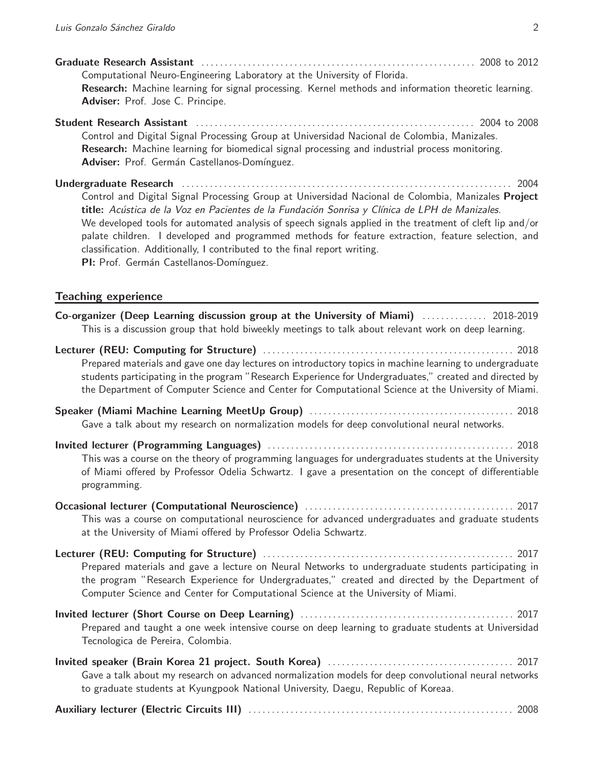| Computational Neuro-Engineering Laboratory at the University of Florida.<br>Research: Machine learning for signal processing. Kernel methods and information theoretic learning.<br>Adviser: Prof. Jose C. Principe.                                                                                                                                                                                                                                                                                                                                 |
|------------------------------------------------------------------------------------------------------------------------------------------------------------------------------------------------------------------------------------------------------------------------------------------------------------------------------------------------------------------------------------------------------------------------------------------------------------------------------------------------------------------------------------------------------|
| Student Research Assistant (and the contract of the contract of the 2008 to 2008)<br>Control and Digital Signal Processing Group at Universidad Nacional de Colombia, Manizales.<br>Research: Machine learning for biomedical signal processing and industrial process monitoring.<br>Adviser: Prof. Germán Castellanos-Domínguez.                                                                                                                                                                                                                   |
| 2004<br>Control and Digital Signal Processing Group at Universidad Nacional de Colombia, Manizales Project<br>title: Acústica de la Voz en Pacientes de la Fundación Sonrisa y Clínica de LPH de Manizales.<br>We developed tools for automated analysis of speech signals applied in the treatment of cleft lip and/or<br>palate children. I developed and programmed methods for feature extraction, feature selection, and<br>classification. Additionally, I contributed to the final report writing.<br>PI: Prof. Germán Castellanos-Domínguez. |
| <b>Teaching experience</b>                                                                                                                                                                                                                                                                                                                                                                                                                                                                                                                           |
| Co-organizer (Deep Learning discussion group at the University of Miami)  2018-2019<br>This is a discussion group that hold biweekly meetings to talk about relevant work on deep learning.                                                                                                                                                                                                                                                                                                                                                          |
| Prepared materials and gave one day lectures on introductory topics in machine learning to undergraduate<br>students participating in the program "Research Experience for Undergraduates," created and directed by<br>the Department of Computer Science and Center for Computational Science at the University of Miami.                                                                                                                                                                                                                           |
| Gave a talk about my research on normalization models for deep convolutional neural networks.                                                                                                                                                                                                                                                                                                                                                                                                                                                        |
| This was a course on the theory of programming languages for undergraduates students at the University<br>of Miami offered by Professor Odelia Schwartz. I gave a presentation on the concept of differentiable<br>programming.                                                                                                                                                                                                                                                                                                                      |
| This was a course on computational neuroscience for advanced undergraduates and graduate students<br>at the University of Miami offered by Professor Odelia Schwartz.                                                                                                                                                                                                                                                                                                                                                                                |
| Prepared materials and gave a lecture on Neural Networks to undergraduate students participating in<br>the program "Research Experience for Undergraduates," created and directed by the Department of<br>Computer Science and Center for Computational Science at the University of Miami.                                                                                                                                                                                                                                                          |
| Prepared and taught a one week intensive course on deep learning to graduate students at Universidad<br>Tecnologica de Pereira, Colombia.                                                                                                                                                                                                                                                                                                                                                                                                            |
| Invited speaker (Brain Korea 21 project. South Korea)<br>Cave a talk about my research on advanced normalization models for deep convolutional noural naturalistic                                                                                                                                                                                                                                                                                                                                                                                   |

Gave a talk about my research on advanced normalization models for deep convolutional neural networks to graduate students at Kyungpook National University, Daegu, Republic of Koreaa.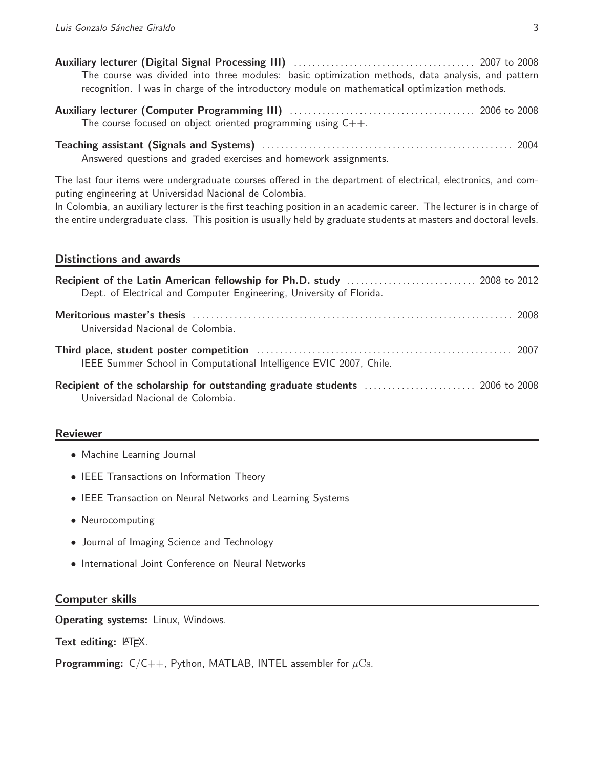|  |  |  | The course was divided into three modules: basic optimization methods, data analysis, and pattern |  |  |  |
|--|--|--|---------------------------------------------------------------------------------------------------|--|--|--|
|  |  |  | recognition. I was in charge of the introductory module on mathematical optimization methods.     |  |  |  |

| The course focused on object oriented programming using $C++$ . |  |
|-----------------------------------------------------------------|--|

Teaching assistant (Signals and Systems) . . . . . . . . . . . . . . . . . . . . . . . . . . . . . . . . . . . . . . . . . . . . . . . . . . . . . . 2004 Answered questions and graded exercises and homework assignments.

The last four items were undergraduate courses offered in the department of electrical, electronics, and computing engineering at Universidad Nacional de Colombia.

In Colombia, an auxiliary lecturer is the first teaching position in an academic career. The lecturer is in charge of the entire undergraduate class. This position is usually held by graduate students at masters and doctoral levels.

## Distinctions and awards

| Dept. of Electrical and Computer Engineering, University of Florida. |
|----------------------------------------------------------------------|
| Universidad Nacional de Colombia.                                    |
| IEEE Summer School in Computational Intelligence EVIC 2007, Chile.   |
| Universidad Nacional de Colombia.                                    |

# Reviewer

- Machine Learning Journal
- IEEE Transactions on Information Theory
- IEEE Transaction on Neural Networks and Learning Systems
- Neurocomputing
- Journal of Imaging Science and Technology
- International Joint Conference on Neural Networks

# Computer skills

Operating systems: Linux, Windows.

Text editing:  $\mathbb{A}T$ <sub>F</sub>X.

**Programming:**  $C/C++$ , Python, MATLAB, INTEL assembler for  $\mu$ Cs.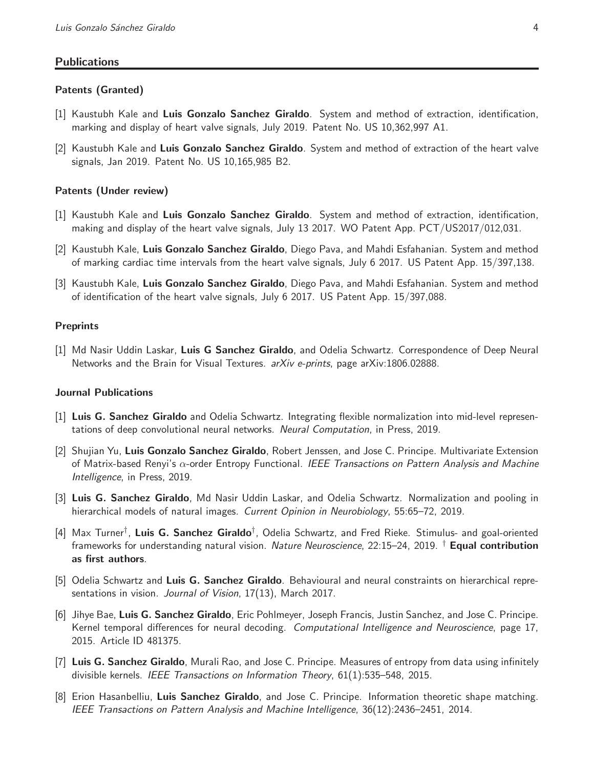#### **Publications**

#### Patents (Granted)

- [1] Kaustubh Kale and Luis Gonzalo Sanchez Giraldo. System and method of extraction, identification, marking and display of heart valve signals, July 2019. Patent No. US 10,362,997 A1.
- [2] Kaustubh Kale and Luis Gonzalo Sanchez Giraldo. System and method of extraction of the heart valve signals, Jan 2019. Patent No. US 10,165,985 B2.

#### Patents (Under review)

- [1] Kaustubh Kale and Luis Gonzalo Sanchez Giraldo. System and method of extraction, identification, making and display of the heart valve signals, July 13 2017. WO Patent App. PCT/US2017/012,031.
- [2] Kaustubh Kale, Luis Gonzalo Sanchez Giraldo, Diego Pava, and Mahdi Esfahanian. System and method of marking cardiac time intervals from the heart valve signals, July 6 2017. US Patent App. 15/397,138.
- [3] Kaustubh Kale, Luis Gonzalo Sanchez Giraldo, Diego Pava, and Mahdi Esfahanian. System and method of identification of the heart valve signals, July 6 2017. US Patent App. 15/397,088.

#### **Preprints**

[1] Md Nasir Uddin Laskar, Luis G Sanchez Giraldo, and Odelia Schwartz. Correspondence of Deep Neural Networks and the Brain for Visual Textures. *arXiv e-prints*, page arXiv:1806.02888.

#### Journal Publications

- [1] Luis G. Sanchez Giraldo and Odelia Schwartz. Integrating flexible normalization into mid-level representations of deep convolutional neural networks. *Neural Computation*, in Press, 2019.
- [2] Shujian Yu, Luis Gonzalo Sanchez Giraldo, Robert Jenssen, and Jose C. Principe. Multivariate Extension of Matrix-based Renyi's α-order Entropy Functional. *IEEE Transactions on Pattern Analysis and Machine Intelligence*, in Press, 2019.
- [3] Luis G. Sanchez Giraldo, Md Nasir Uddin Laskar, and Odelia Schwartz. Normalization and pooling in hierarchical models of natural images. *Current Opinion in Neurobiology*, 55:65–72, 2019.
- [4] Max Turner<sup>†</sup>, Luis G. Sanchez Giraldo<sup>†</sup>, Odelia Schwartz, and Fred Rieke. Stimulus- and goal-oriented frameworks for understanding natural vision. *Nature Neuroscience*, 22:15–24, 2019. † Equal contribution as first authors.
- [5] Odelia Schwartz and Luis G. Sanchez Giraldo. Behavioural and neural constraints on hierarchical representations in vision. *Journal of Vision*, 17(13), March 2017.
- [6] Jihye Bae, Luis G. Sanchez Giraldo, Eric Pohlmeyer, Joseph Francis, Justin Sanchez, and Jose C. Principe. Kernel temporal differences for neural decoding. *Computational Intelligence and Neuroscience*, page 17, 2015. Article ID 481375.
- [7] Luis G. Sanchez Giraldo, Murali Rao, and Jose C. Principe. Measures of entropy from data using infinitely divisible kernels. *IEEE Transactions on Information Theory*, 61(1):535–548, 2015.
- [8] Erion Hasanbelliu, Luis Sanchez Giraldo, and Jose C. Principe. Information theoretic shape matching. *IEEE Transactions on Pattern Analysis and Machine Intelligence*, 36(12):2436–2451, 2014.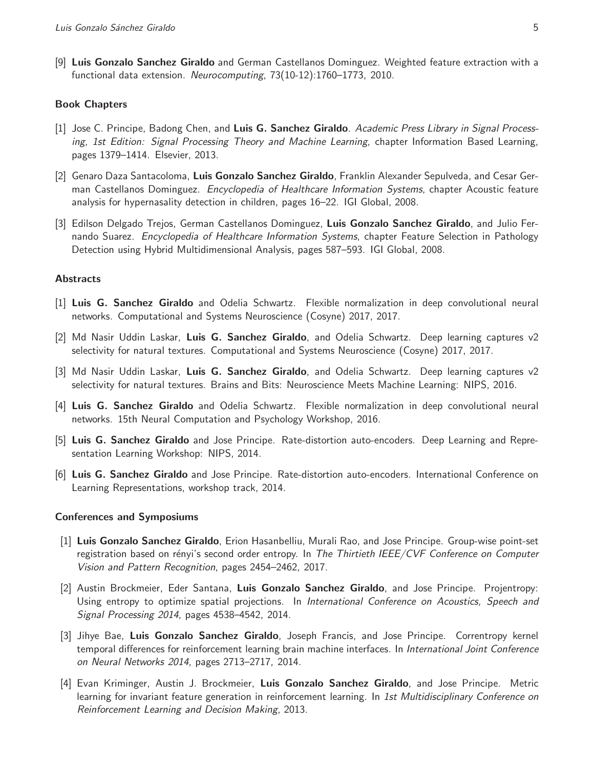[9] Luis Gonzalo Sanchez Giraldo and German Castellanos Dominguez. Weighted feature extraction with a functional data extension. *Neurocomputing*, 73(10-12):1760–1773, 2010.

#### Book Chapters

- [1] Jose C. Principe, Badong Chen, and Luis G. Sanchez Giraldo. *Academic Press Library in Signal Processing, 1st Edition: Signal Processing Theory and Machine Learning*, chapter Information Based Learning, pages 1379–1414. Elsevier, 2013.
- [2] Genaro Daza Santacoloma, Luis Gonzalo Sanchez Giraldo, Franklin Alexander Sepulveda, and Cesar German Castellanos Dominguez. *Encyclopedia of Healthcare Information Systems*, chapter Acoustic feature analysis for hypernasality detection in children, pages 16–22. IGI Global, 2008.
- [3] Edilson Delgado Trejos, German Castellanos Dominguez, Luis Gonzalo Sanchez Giraldo, and Julio Fernando Suarez. *Encyclopedia of Healthcare Information Systems*, chapter Feature Selection in Pathology Detection using Hybrid Multidimensional Analysis, pages 587–593. IGI Global, 2008.

#### **Abstracts**

- [1] Luis G. Sanchez Giraldo and Odelia Schwartz. Flexible normalization in deep convolutional neural networks. Computational and Systems Neuroscience (Cosyne) 2017, 2017.
- [2] Md Nasir Uddin Laskar, Luis G. Sanchez Giraldo, and Odelia Schwartz. Deep learning captures v2 selectivity for natural textures. Computational and Systems Neuroscience (Cosyne) 2017, 2017.
- [3] Md Nasir Uddin Laskar, Luis G. Sanchez Giraldo, and Odelia Schwartz. Deep learning captures v2 selectivity for natural textures. Brains and Bits: Neuroscience Meets Machine Learning: NIPS, 2016.
- [4] Luis G. Sanchez Giraldo and Odelia Schwartz. Flexible normalization in deep convolutional neural networks. 15th Neural Computation and Psychology Workshop, 2016.
- [5] Luis G. Sanchez Giraldo and Jose Principe. Rate-distortion auto-encoders. Deep Learning and Representation Learning Workshop: NIPS, 2014.
- [6] Luis G. Sanchez Giraldo and Jose Principe. Rate-distortion auto-encoders. International Conference on Learning Representations, workshop track, 2014.

#### Conferences and Symposiums

- [1] Luis Gonzalo Sanchez Giraldo, Erion Hasanbelliu, Murali Rao, and Jose Principe. Group-wise point-set registration based on rényi's second order entropy. In *The Thirtieth IEEE/CVF Conference on Computer Vision and Pattern Recognition*, pages 2454–2462, 2017.
- [2] Austin Brockmeier, Eder Santana, Luis Gonzalo Sanchez Giraldo, and Jose Principe. Projentropy: Using entropy to optimize spatial projections. In *International Conference on Acoustics, Speech and Signal Processing 2014*, pages 4538–4542, 2014.
- [3] Jihye Bae, Luis Gonzalo Sanchez Giraldo, Joseph Francis, and Jose Principe. Correntropy kernel temporal differences for reinforcement learning brain machine interfaces. In *International Joint Conference on Neural Networks 2014*, pages 2713–2717, 2014.
- [4] Evan Kriminger, Austin J. Brockmeier, Luis Gonzalo Sanchez Giraldo, and Jose Principe. Metric learning for invariant feature generation in reinforcement learning. In *1st Multidisciplinary Conference on Reinforcement Learning and Decision Making*, 2013.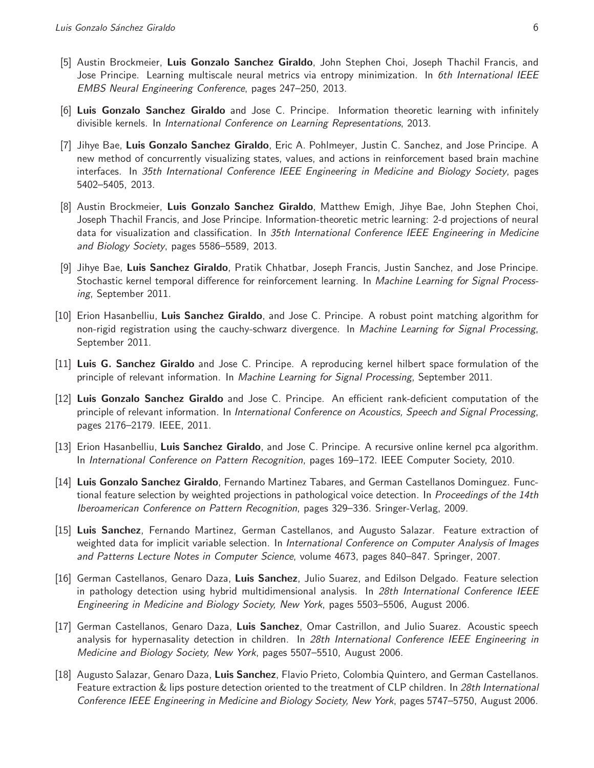- [5] Austin Brockmeier, Luis Gonzalo Sanchez Giraldo, John Stephen Choi, Joseph Thachil Francis, and Jose Principe. Learning multiscale neural metrics via entropy minimization. In *6th International IEEE EMBS Neural Engineering Conference*, pages 247–250, 2013.
- [6] Luis Gonzalo Sanchez Giraldo and Jose C. Principe. Information theoretic learning with infinitely divisible kernels. In *International Conference on Learning Representations*, 2013.
- [7] Jihye Bae, Luis Gonzalo Sanchez Giraldo, Eric A. Pohlmeyer, Justin C. Sanchez, and Jose Principe. A new method of concurrently visualizing states, values, and actions in reinforcement based brain machine interfaces. In *35th International Conference IEEE Engineering in Medicine and Biology Society*, pages 5402–5405, 2013.
- [8] Austin Brockmeier, Luis Gonzalo Sanchez Giraldo, Matthew Emigh, Jihye Bae, John Stephen Choi, Joseph Thachil Francis, and Jose Principe. Information-theoretic metric learning: 2-d projections of neural data for visualization and classification. In *35th International Conference IEEE Engineering in Medicine and Biology Society*, pages 5586–5589, 2013.
- [9] Jihye Bae, Luis Sanchez Giraldo, Pratik Chhatbar, Joseph Francis, Justin Sanchez, and Jose Principe. Stochastic kernel temporal difference for reinforcement learning. In *Machine Learning for Signal Processing*, September 2011.
- [10] Erion Hasanbelliu, Luis Sanchez Giraldo, and Jose C. Principe. A robust point matching algorithm for non-rigid registration using the cauchy-schwarz divergence. In *Machine Learning for Signal Processing*, September 2011.
- [11] Luis G. Sanchez Giraldo and Jose C. Principe. A reproducing kernel hilbert space formulation of the principle of relevant information. In *Machine Learning for Signal Processing*, September 2011.
- [12] Luis Gonzalo Sanchez Giraldo and Jose C. Principe. An efficient rank-deficient computation of the principle of relevant information. In *International Conference on Acoustics, Speech and Signal Processing*, pages 2176–2179. IEEE, 2011.
- [13] Erion Hasanbelliu, Luis Sanchez Giraldo, and Jose C. Principe. A recursive online kernel pca algorithm. In *International Conference on Pattern Recognition*, pages 169–172. IEEE Computer Society, 2010.
- [14] Luis Gonzalo Sanchez Giraldo, Fernando Martinez Tabares, and German Castellanos Dominguez. Functional feature selection by weighted projections in pathological voice detection. In *Proceedings of the 14th Iberoamerican Conference on Pattern Recognition*, pages 329–336. Sringer-Verlag, 2009.
- [15] Luis Sanchez, Fernando Martinez, German Castellanos, and Augusto Salazar. Feature extraction of weighted data for implicit variable selection. In *International Conference on Computer Analysis of Images and Patterns Lecture Notes in Computer Science*, volume 4673, pages 840–847. Springer, 2007.
- [16] German Castellanos, Genaro Daza, Luis Sanchez, Julio Suarez, and Edilson Delgado. Feature selection in pathology detection using hybrid multidimensional analysis. In *28th International Conference IEEE Engineering in Medicine and Biology Society, New York*, pages 5503–5506, August 2006.
- [17] German Castellanos, Genaro Daza, Luis Sanchez, Omar Castrillon, and Julio Suarez. Acoustic speech analysis for hypernasality detection in children. In *28th International Conference IEEE Engineering in Medicine and Biology Society, New York*, pages 5507–5510, August 2006.
- [18] Augusto Salazar, Genaro Daza, Luis Sanchez, Flavio Prieto, Colombia Quintero, and German Castellanos. Feature extraction & lips posture detection oriented to the treatment of CLP children. In *28th International Conference IEEE Engineering in Medicine and Biology Society, New York*, pages 5747–5750, August 2006.